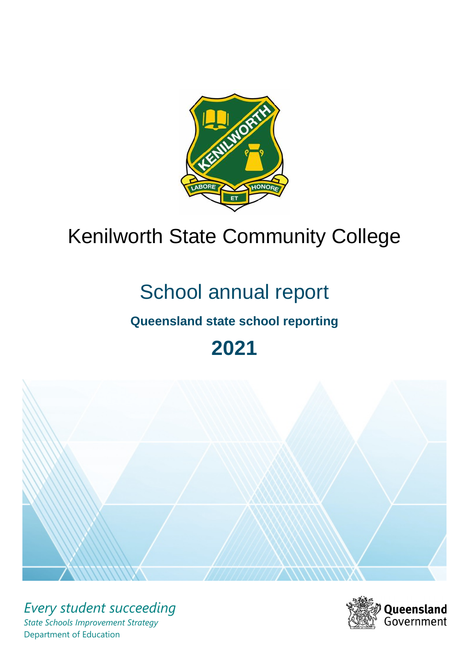

# Kenilworth State Community College

# School annual report

# **Queensland state school reporting**

**2021**



*Every student succeeding State Schools Improvement Strategy* Department of Education

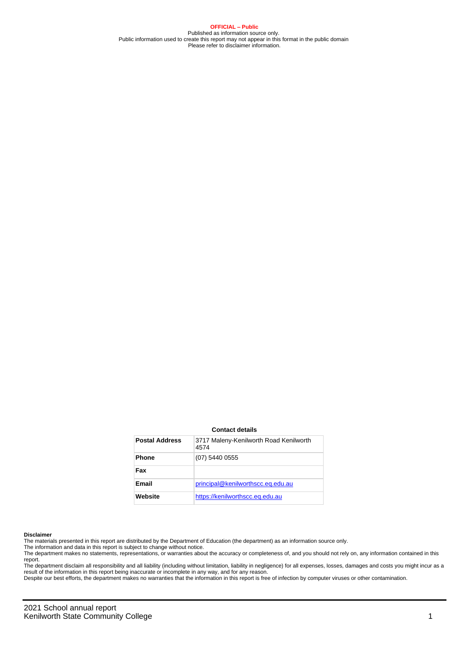**OFFICIAL – Public** Published as information source only. Public information used to create this report may not appear in this format in the public domain Please refer to disclaimer information.

#### **Contact details**

| <b>Postal Address</b> | 3717 Maleny-Kenilworth Road Kenilworth<br>4574 |
|-----------------------|------------------------------------------------|
| <b>Phone</b>          | (07) 5440 0555                                 |
| Fax                   |                                                |
| Email                 | principal@kenilworthscc.eq.edu.au              |
| Website               | https://kenilworthscc.eq.edu.au                |

#### **Disclaimer**

The materials presented in this report are distributed by the Department of Education (the department) as an information source only.

The information and data in this report is subject to change without notice.

The department makes no statements, representations, or warranties about the accuracy or completeness of, and you should not rely on, any information contained in this report.

The department disclaim all responsibility and all liability (including without limitation, liability in negligence) for all expenses, losses, damages and costs you might incur as a<br>result of the information in this report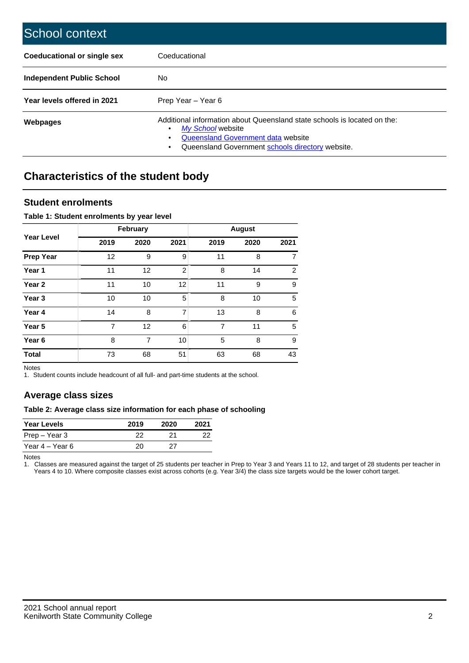| School context                   |                                                                                                                                                                                              |
|----------------------------------|----------------------------------------------------------------------------------------------------------------------------------------------------------------------------------------------|
| Coeducational or single sex      | Coeducational                                                                                                                                                                                |
| <b>Independent Public School</b> | No.                                                                                                                                                                                          |
| Year levels offered in 2021      | Prep Year - Year 6                                                                                                                                                                           |
| Webpages                         | Additional information about Queensland state schools is located on the:<br>My School website<br>Queensland Government data website<br>Queensland Government schools directory website.<br>٠ |

# **Characteristics of the student body**

### **Student enrolments**

#### **Table 1: Student enrolments by year level**

|                   |                | February       |      |                | <b>August</b> |                |
|-------------------|----------------|----------------|------|----------------|---------------|----------------|
| <b>Year Level</b> | 2019           | 2020           | 2021 | 2019           | 2020          | 2021           |
| <b>Prep Year</b>  | 12             | 9              | 9    | 11             | 8             | 7              |
| Year 1            | 11             | 12             | 2    | 8              | 14            | $\overline{2}$ |
| Year 2            | 11             | 10             | 12   | 11             | 9             | 9              |
| Year <sub>3</sub> | 10             | 10             | 5    | 8              | 10            | 5              |
| Year 4            | 14             | 8              | 7    | 13             | 8             | 6              |
| Year 5            | $\overline{7}$ | 12             | 6    | $\overline{7}$ | 11            | 5              |
| Year <sub>6</sub> | 8              | $\overline{7}$ | 10   | 5              | 8             | 9              |
| <b>Total</b>      | 73             | 68             | 51   | 63             | 68            | 43             |

Notes

1. Student counts include headcount of all full- and part-time students at the school.

## **Average class sizes**

#### **Table 2: Average class size information for each phase of schooling**

| <b>Year Levels</b> | 2019 | 2020 | 2021 |
|--------------------|------|------|------|
| Prep – Year 3      | 22   | 21   | 22   |
| Year 4 – Year 6    | 20   | 27   |      |

Notes

1. Classes are measured against the target of 25 students per teacher in Prep to Year 3 and Years 11 to 12, and target of 28 students per teacher in Years 4 to 10. Where composite classes exist across cohorts (e.g. Year 3/4) the class size targets would be the lower cohort target.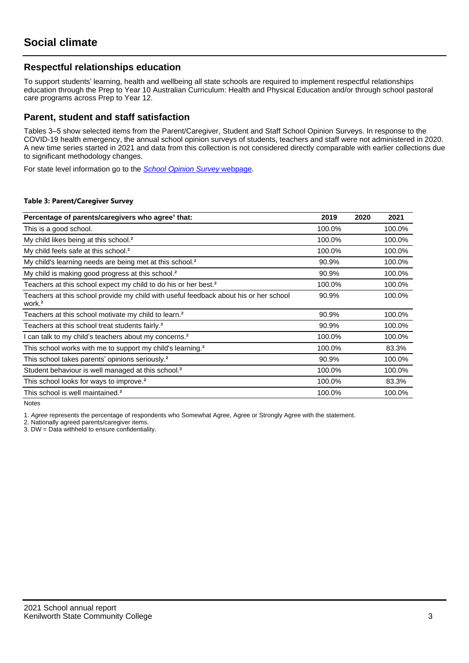## **Respectful relationships education**

To support students' learning, health and wellbeing all state schools are required to implement respectful relationships education through the Prep to Year 10 Australian Curriculum: Health and Physical Education and/or through school pastoral care programs across Prep to Year 12.

### **Parent, student and staff satisfaction**

Tables 3–5 show selected items from the Parent/Caregiver, Student and Staff School Opinion Surveys. In response to the COVID-19 health emergency, the annual school opinion surveys of students, teachers and staff were not administered in 2020. A new time series started in 2021 and data from this collection is not considered directly comparable with earlier collections due to significant methodology changes.

For state level information go to the **[School Opinion Survey](https://qed.qld.gov.au/publications/reports/statistics/schooling/schools/schoolopinionsurvey) webpage**.

#### **Table 3: Parent/Caregiver Survey**

| Percentage of parents/caregivers who agree <sup>1</sup> that:                                               | 2019   | 2020 | 2021   |
|-------------------------------------------------------------------------------------------------------------|--------|------|--------|
| This is a good school.                                                                                      | 100.0% |      | 100.0% |
| My child likes being at this school. <sup>2</sup>                                                           | 100.0% |      | 100.0% |
| My child feels safe at this school. <sup>2</sup>                                                            | 100.0% |      | 100.0% |
| My child's learning needs are being met at this school. <sup>2</sup>                                        | 90.9%  |      | 100.0% |
| My child is making good progress at this school. <sup>2</sup>                                               | 90.9%  |      | 100.0% |
| Teachers at this school expect my child to do his or her best. <sup>2</sup>                                 | 100.0% |      | 100.0% |
| Teachers at this school provide my child with useful feedback about his or her school<br>work. <sup>2</sup> | 90.9%  |      | 100.0% |
| Teachers at this school motivate my child to learn. <sup>2</sup>                                            | 90.9%  |      | 100.0% |
| Teachers at this school treat students fairly. <sup>2</sup>                                                 | 90.9%  |      | 100.0% |
| I can talk to my child's teachers about my concerns. <sup>2</sup>                                           | 100.0% |      | 100.0% |
| This school works with me to support my child's learning. <sup>2</sup>                                      | 100.0% |      | 83.3%  |
| This school takes parents' opinions seriously. <sup>2</sup>                                                 | 90.9%  |      | 100.0% |
| Student behaviour is well managed at this school. <sup>2</sup>                                              | 100.0% |      | 100.0% |
| This school looks for ways to improve. <sup>2</sup>                                                         | 100.0% |      | 83.3%  |
| This school is well maintained. <sup>2</sup>                                                                | 100.0% |      | 100.0% |

Notes

1. Agree represents the percentage of respondents who Somewhat Agree, Agree or Strongly Agree with the statement.

2. Nationally agreed parents/caregiver items.

3. DW = Data withheld to ensure confidentiality.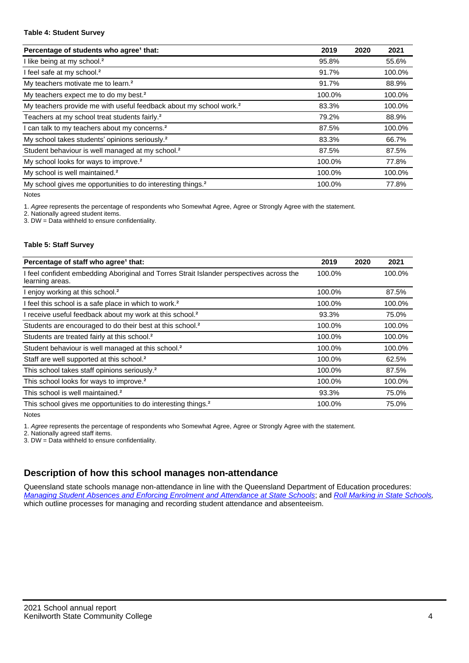#### **Table 4: Student Survey**

| Percentage of students who agree <sup>1</sup> that:                            | 2019   | 2020 | 2021   |
|--------------------------------------------------------------------------------|--------|------|--------|
| I like being at my school. <sup>2</sup>                                        | 95.8%  |      | 55.6%  |
| I feel safe at my school. <sup>2</sup>                                         | 91.7%  |      | 100.0% |
| My teachers motivate me to learn. <sup>2</sup>                                 | 91.7%  |      | 88.9%  |
| My teachers expect me to do my best. <sup>2</sup>                              | 100.0% |      | 100.0% |
| My teachers provide me with useful feedback about my school work. <sup>2</sup> | 83.3%  |      | 100.0% |
| Teachers at my school treat students fairly. <sup>2</sup>                      | 79.2%  |      | 88.9%  |
| I can talk to my teachers about my concerns. <sup>2</sup>                      | 87.5%  |      | 100.0% |
| My school takes students' opinions seriously. <sup>2</sup>                     | 83.3%  |      | 66.7%  |
| Student behaviour is well managed at my school. <sup>2</sup>                   | 87.5%  |      | 87.5%  |
| My school looks for ways to improve. <sup>2</sup>                              | 100.0% |      | 77.8%  |
| My school is well maintained. <sup>2</sup>                                     | 100.0% |      | 100.0% |
| My school gives me opportunities to do interesting things. <sup>2</sup>        | 100.0% |      | 77.8%  |

Notes

1. Agree represents the percentage of respondents who Somewhat Agree, Agree or Strongly Agree with the statement.

2. Nationally agreed student items.

3. DW = Data withheld to ensure confidentiality.

#### **Table 5: Staff Survey**

| Percentage of staff who agree <sup>1</sup> that:                                                            | 2019   | 2020 | 2021   |
|-------------------------------------------------------------------------------------------------------------|--------|------|--------|
| I feel confident embedding Aboriginal and Torres Strait Islander perspectives across the<br>learning areas. | 100.0% |      | 100.0% |
| I enjoy working at this school. <sup>2</sup>                                                                | 100.0% |      | 87.5%  |
| I feel this school is a safe place in which to work. <sup>2</sup>                                           | 100.0% |      | 100.0% |
| I receive useful feedback about my work at this school. <sup>2</sup>                                        | 93.3%  |      | 75.0%  |
| Students are encouraged to do their best at this school. <sup>2</sup>                                       | 100.0% |      | 100.0% |
| Students are treated fairly at this school. <sup>2</sup>                                                    | 100.0% |      | 100.0% |
| Student behaviour is well managed at this school. <sup>2</sup>                                              | 100.0% |      | 100.0% |
| Staff are well supported at this school. <sup>2</sup>                                                       | 100.0% |      | 62.5%  |
| This school takes staff opinions seriously. <sup>2</sup>                                                    | 100.0% |      | 87.5%  |
| This school looks for ways to improve. <sup>2</sup>                                                         | 100.0% |      | 100.0% |
| This school is well maintained. <sup>2</sup>                                                                | 93.3%  |      | 75.0%  |
| This school gives me opportunities to do interesting things. <sup>2</sup>                                   | 100.0% |      | 75.0%  |

Notes

1. Agree represents the percentage of respondents who Somewhat Agree, Agree or Strongly Agree with the statement.

2. Nationally agreed staff items.

3. DW = Data withheld to ensure confidentiality.

## **Description of how this school manages non-attendance**

Queensland state schools manage non-attendance in line with the Queensland Department of Education procedures: [Managing Student Absences and Enforcing Enrolment and Attendance at State Schools](https://ppr.qed.qld.gov.au/pp/managing-student-absences-and-enforcing-enrolment-and-attendance-at-state-schools-procedure); and [Roll Marking in State Schools,](https://ppr.qed.qld.gov.au/pp/roll-marking-in-state-schools-procedure) which outline processes for managing and recording student attendance and absenteeism.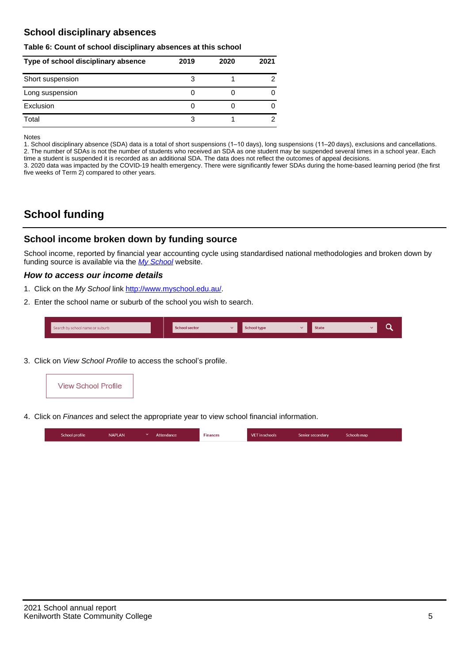## **School disciplinary absences**

#### **Table 6: Count of school disciplinary absences at this school**

| Type of school disciplinary absence | 2019 | 2020 | 2021 |
|-------------------------------------|------|------|------|
| Short suspension                    |      |      |      |
| Long suspension                     |      |      |      |
| Exclusion                           |      |      |      |
| Total                               |      |      |      |

Notes

1. School disciplinary absence (SDA) data is a total of short suspensions (1–10 days), long suspensions (11–20 days), exclusions and cancellations. 2. The number of SDAs is not the number of students who received an SDA as one student may be suspended several times in a school year. Each time a student is suspended it is recorded as an additional SDA. The data does not reflect the outcomes of appeal decisions.

3. 2020 data was impacted by the COVID-19 health emergency. There were significantly fewer SDAs during the home-based learning period (the first five weeks of Term 2) compared to other years.

# **School funding**

## **School income broken down by funding source**

School income, reported by financial year accounting cycle using standardised national methodologies and broken down by funding source is available via the  $My$  School website.

#### **How to access our income details**

- 1. Click on the My School link <http://www.myschool.edu.au/>.
- 2. Enter the school name or suburb of the school you wish to search.

|  | Search by school name or suburb |  | <b>School sector</b> |  | $\sim$ and $\sim$ represents the set of $\sim$ | <b>State</b> |  |  |  |
|--|---------------------------------|--|----------------------|--|------------------------------------------------|--------------|--|--|--|
|--|---------------------------------|--|----------------------|--|------------------------------------------------|--------------|--|--|--|

3. Click on View School Profile to access the school's profile.



4. Click on Finances and select the appropriate year to view school financial information.

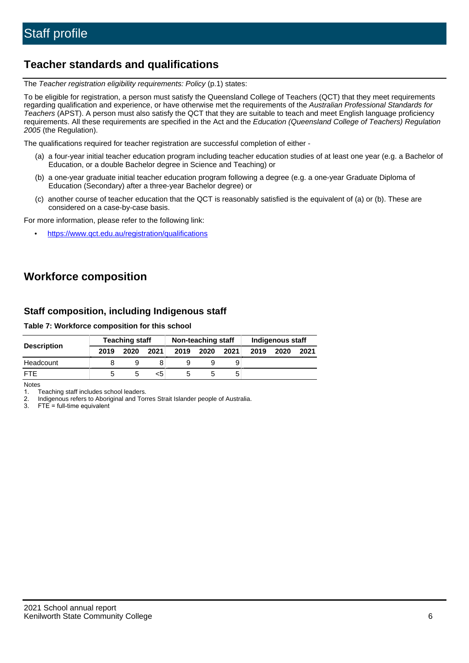# **Teacher standards and qualifications**

The Teacher registration eligibility requirements: Policy (p.1) states:

To be eligible for registration, a person must satisfy the Queensland College of Teachers (QCT) that they meet requirements regarding qualification and experience, or have otherwise met the requirements of the Australian Professional Standards for Teachers (APST). A person must also satisfy the QCT that they are suitable to teach and meet English language proficiency requirements. All these requirements are specified in the Act and the Education (Queensland College of Teachers) Regulation 2005 (the Regulation).

The qualifications required for teacher registration are successful completion of either -

- (a) a four-year initial teacher education program including teacher education studies of at least one year (e.g. a Bachelor of Education, or a double Bachelor degree in Science and Teaching) or
- (b) a one-year graduate initial teacher education program following a degree (e.g. a one-year Graduate Diploma of Education (Secondary) after a three-year Bachelor degree) or
- (c) another course of teacher education that the QCT is reasonably satisfied is the equivalent of (a) or (b). These are considered on a case-by-case basis.

For more information, please refer to the following link:

• <https://www.qct.edu.au/registration/qualifications>

# **Workforce composition**

## **Staff composition, including Indigenous staff**

#### **Table 7: Workforce composition for this school**

|                    |      | <b>Teaching staff</b> |      |      | Non-teaching staff |      |      | Indigenous staff |      |
|--------------------|------|-----------------------|------|------|--------------------|------|------|------------------|------|
| <b>Description</b> | 2019 | 2020                  | 2021 | 2019 | 2020               | 2021 | 2019 | 2020             | 2021 |
| Headcount          |      |                       |      |      |                    |      |      |                  |      |
| <b>FTF</b>         | :5   | :C                    | <5   |      |                    | 5    |      |                  |      |

Notes

1. Teaching staff includes school leaders.

2. Indigenous refers to Aboriginal and Torres Strait Islander people of Australia.

3. FTE = full-time equivalent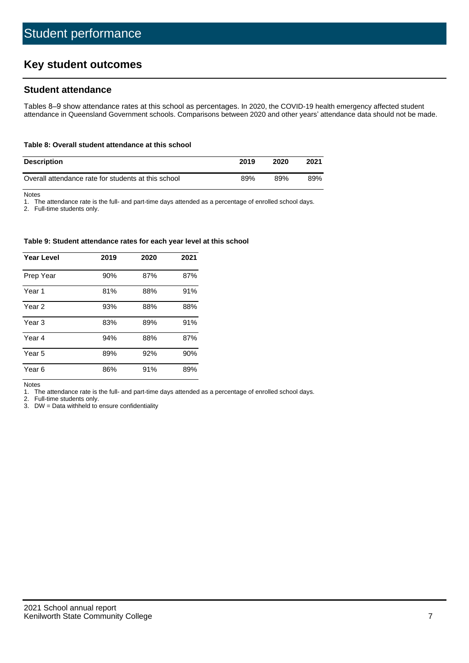# **Key student outcomes**

## **Student attendance**

Tables 8–9 show attendance rates at this school as percentages. In 2020, the COVID-19 health emergency affected student attendance in Queensland Government schools. Comparisons between 2020 and other years' attendance data should not be made.

#### **Table 8: Overall student attendance at this school**

| <b>Description</b>                                  | 2019 | 2020 | 2021 |
|-----------------------------------------------------|------|------|------|
| Overall attendance rate for students at this school | 89%  | 89%  | 89%  |

Notes

1. The attendance rate is the full- and part-time days attended as a percentage of enrolled school days.

2. Full-time students only.

#### **Table 9: Student attendance rates for each year level at this school**

| <b>Year Level</b> | 2019 | 2020 | 2021 |
|-------------------|------|------|------|
| Prep Year         | 90%  | 87%  | 87%  |
| Year <sub>1</sub> | 81%  | 88%  | 91%  |
| Year 2            | 93%  | 88%  | 88%  |
| Year <sub>3</sub> | 83%  | 89%  | 91%  |
| Year 4            | 94%  | 88%  | 87%  |
| Year 5            | 89%  | 92%  | 90%  |
| Year 6            | 86%  | 91%  | 89%  |

Notes

1. The attendance rate is the full- and part-time days attended as a percentage of enrolled school days.<br>2. Full-time students only.

Full-time students only.

3. DW = Data withheld to ensure confidentiality